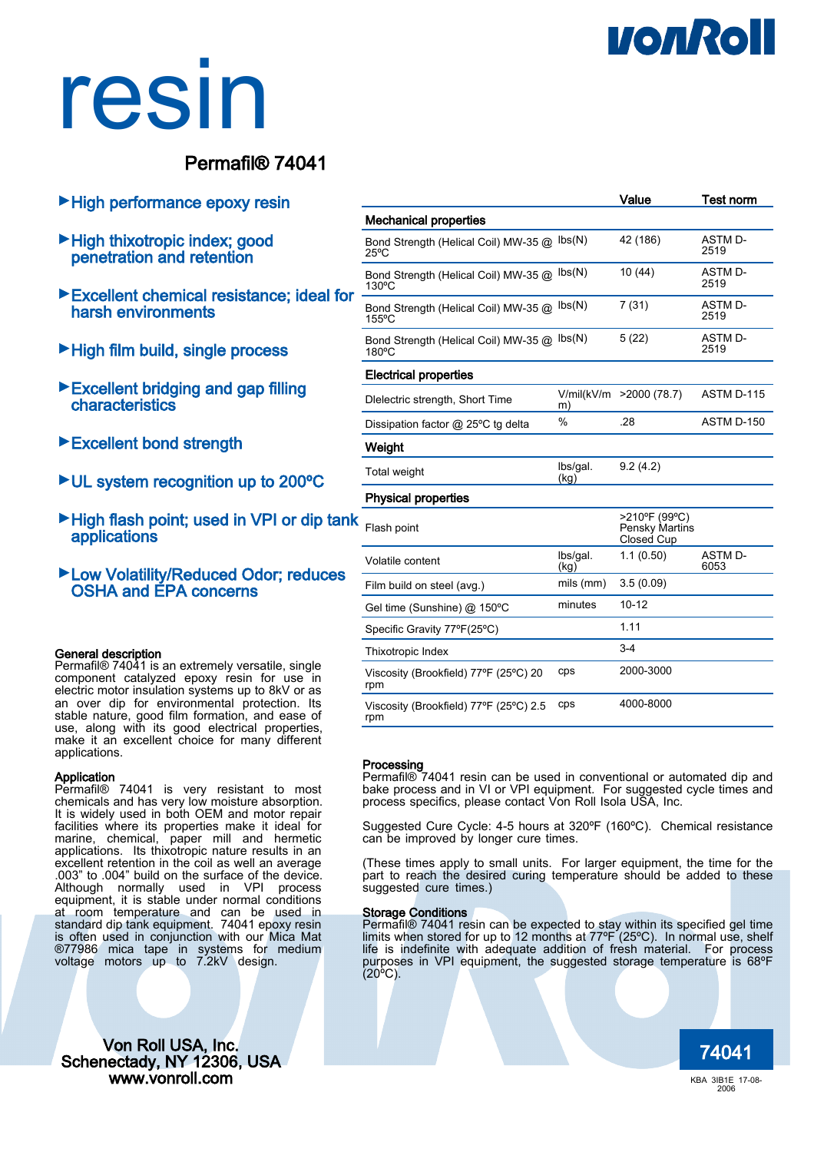## **VONROI**

# resin

### Permafil® 74041

- ►High performance epoxy resin
- ►High thixotropic index; good penetration and retention
- ►Excellent chemical resistance; ideal for harsh environments
- ►High film build, single process
- ►Excellent bridging and gap filling characteristics
- ►Excellent bond strength
- ►UL system recognition up to 200ºC
- ►High flash point; used in VPI or dip tank applications
- ►Low Volatility/Reduced Odor; reduces OSHA and EPA concerns

#### General description

Permafil® 74041 is an extremely versatile, single component catalyzed epoxy resin for use in electric motor insulation systems up to 8kV or as an over dip for environmental protection. Its stable nature, good film formation, and ease of use, along with its good electrical properties, make it an excellent choice for many different applications.

#### Application

Permafil® 74041 is very resistant to most chemicals and has very low moisture absorption. It is widely used in both OEM and motor repair facilities where its properties make it ideal for marine, chemical, paper mill and hermetic applications. Its thixotropic nature results in an excellent retention in the coil as well an average .003" to .004" build on the surface of the device. Although normally used in VPI process equipment, it is stable under normal conditions at room temperature and can be used in standard dip tank equipment. 74041 epoxy resin is often used in conjunction with our Mica Mat ®77986 mica tape in systems for medium voltage motors up to 7.2kV design.

74041 Von Roll USA, Inc. Schenectady, NY 12306, USA www.vonroll.com

|                                                        |                            | Value                                         | <b>Test norm</b>       |
|--------------------------------------------------------|----------------------------|-----------------------------------------------|------------------------|
| <b>Mechanical properties</b>                           |                            |                                               |                        |
| Bond Strength (Helical Coil) MW-35 @<br>$25^{\circ}$ C | $\mathsf{lbs}(\mathsf{N})$ | 42 (186)                                      | ASTM D-<br>2519        |
| Bond Strength (Helical Coil) MW-35 @<br>130°C          | $\mathsf{lbs}(\mathsf{N})$ | 10 (44)                                       | ASTM D-<br>2519        |
| Bond Strength (Helical Coil) MW-35 @<br>155°C          | $\mathsf{lbs}(\mathsf{N})$ | 7(31)                                         | <b>ASTM D-</b><br>2519 |
| Bond Strength (Helical Coil) MW-35 @<br>180°C          | $\mathsf{lbs}(\mathsf{N})$ | 5(22)                                         | ASTM D-<br>2519        |
| <b>Electrical properties</b>                           |                            |                                               |                        |
| Dielectric strength, Short Time                        | V/mil(kV/m<br>m)           | >2000(78.7)                                   | ASTM D-115             |
| Dissipation factor @ 25°C tg delta                     | $\%$                       | .28                                           | ASTM D-150             |
| Weight                                                 |                            |                                               |                        |
| <b>Total weight</b>                                    | lbs/gal.<br>(kg)           | 9.2(4.2)                                      |                        |
| <b>Physical properties</b>                             |                            |                                               |                        |
| Flash point                                            |                            | >210°F (99°C)<br>Pensky Martins<br>Closed Cup |                        |
| Volatile content                                       | lbs/gal.<br>(kq)           | 1.1(0.50)                                     | <b>ASTM D-</b><br>6053 |
| Film build on steel (avg.)                             | mils (mm)                  | 3.5(0.09)                                     |                        |
| Gel time (Sunshine) @ 150°C                            | minutes                    | $10 - 12$                                     |                        |
| Specific Gravity 77°F(25°C)                            |                            | 1.11                                          |                        |
| Thixotropic Index                                      |                            | $3-4$                                         |                        |
| Viscosity (Brookfield) 77°F (25°C) 20<br>rpm           | cps                        | 2000-3000                                     |                        |
| Viscosity (Brookfield) 77°F (25°C) 2.5<br>rpm          | cps                        | 4000-8000                                     |                        |

#### Processing

Permafil® 74041 resin can be used in conventional or automated dip and bake process and in VI or VPI equipment. For suggested cycle times and process specifics, please contact Von Roll Isola USA, Inc.

Suggested Cure Cycle: 4-5 hours at 320ºF (160ºC). Chemical resistance can be improved by longer cure times.

(These times apply to small units. For larger equipment, the time for the part to reach the desired curing temperature should be added to these suggested cure times.)

#### Storage Conditions

Permafil® 74041 resin can be expected to stay within its specified gel time limits when stored for up to 12 months at 77ºF (25ºC). In normal use, shelf life is indefinite with adequate addition of fresh material. For process purposes in VPI equipment, the suggested storage temperature is 68ºF (20ºC).